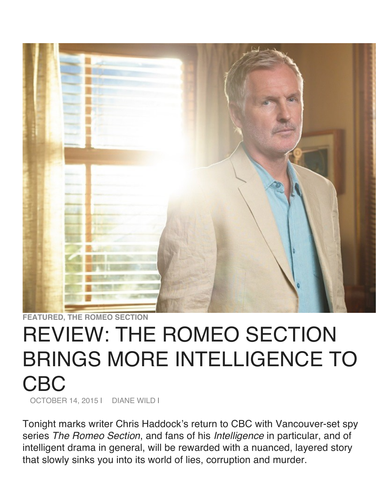

**FEATURED, THE ROMEO SECTION**

## REVIEW: THE ROMEO SECTION BRINGS MORE INTELLIGENCE TO CBC OCTOBER 14, 2015 | DIANE WILD I

Tonight marks writer Chris Haddock's return to CBC with Vancouver-set spy series *The Romeo Section*, and fans of his *Intelligence* in particular, and of intelligent drama in general, will be rewarded with a nuanced, layered story that slowly sinks you into its world of lies, corruption and murder.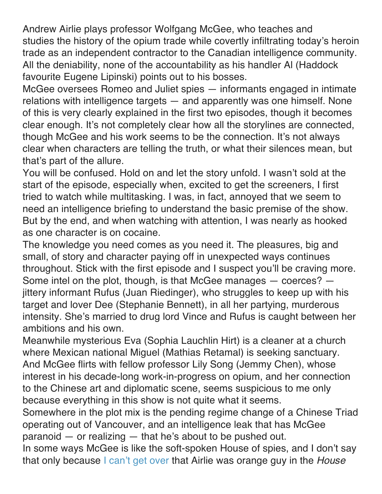Andrew Airlie plays professor Wolfgang McGee, who teaches and studies the history of the opium trade while covertly infiltrating today's heroin trade as an independent contractor to the Canadian intelligence community. All the deniability, none of the accountability as his handler Al (Haddock favourite Eugene Lipinski) points out to his bosses.

McGee oversees Romeo and Juliet spies — informants engaged in intimate relations with intelligence targets — and apparently was one himself. None of this is very clearly explained in the first two episodes, though it becomes clear enough. It's not completely clear how all the storylines are connected, though McGee and his work seems to be the connection. It's not always clear when characters are telling the truth, or what their silences mean, but that's part of the allure.

You will be confused. Hold on and let the story unfold. I wasn't sold at the start of the episode, especially when, excited to get the screeners, I first tried to watch while multitasking. I was, in fact, annoyed that we seem to need an intelligence briefing to understand the basic premise of the show. But by the end, and when watching with attention, I was nearly as hooked as one character is on cocaine.

The knowledge you need comes as you need it. The pleasures, big and small, of story and character paying off in unexpected ways continues throughout. Stick with the first episode and I suspect you'll be craving more. Some intel on the plot, though, is that McGee manages — coerces? jittery informant Rufus (Juan Riedinger), who struggles to keep up with his target and lover Dee (Stephanie Bennett), in all her partying, murderous intensity. She's married to drug lord Vince and Rufus is caught between her ambitions and his own.

Meanwhile mysterious Eva (Sophia Lauchlin Hirt) is a cleaner at a church where Mexican national Miguel (Mathias Retamal) is seeking sanctuary. And McGee flirts with fellow professor Lily Song (Jemmy Chen), whose interest in his decade-long work-in-progress on opium, and her connection to the Chinese art and diplomatic scene, seems suspicious to me only because everything in this show is not quite what it seems.

Somewhere in the plot mix is the pending regime change of a Chinese Triad operating out of Vancouver, and an intelligence leak that has McGee paranoid — or realizing — that he's about to be pushed out.

In some ways McGee is like the soft-spoken House of spies, and I don't say that only because I can't get over that Airlie was orange guy in the *House*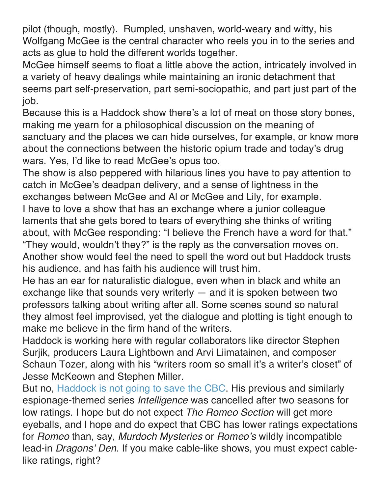pilot (though, mostly). Rumpled, unshaven, world-weary and witty, his Wolfgang McGee is the central character who reels you in to the series and acts as glue to hold the different worlds together.

McGee himself seems to float a little above the action, intricately involved in a variety of heavy dealings while maintaining an ironic detachment that seems part self-preservation, part semi-sociopathic, and part just part of the job.

Because this is a Haddock show there's a lot of meat on those story bones, making me yearn for a philosophical discussion on the meaning of sanctuary and the places we can hide ourselves, for example, or know more about the connections between the historic opium trade and today's drug wars. Yes, I'd like to read McGee's opus too.

The show is also peppered with hilarious lines you have to pay attention to catch in McGee's deadpan delivery, and a sense of lightness in the exchanges between McGee and Al or McGee and Lily, for example. I have to love a show that has an exchange where a junior colleague laments that she gets bored to tears of everything she thinks of writing about, with McGee responding: "I believe the French have a word for that." "They would, wouldn't they?" is the reply as the conversation moves on. Another show would feel the need to spell the word out but Haddock trusts his audience, and has faith his audience will trust him.

He has an ear for naturalistic dialogue, even when in black and white an exchange like that sounds very writerly — and it is spoken between two professors talking about writing after all. Some scenes sound so natural they almost feel improvised, yet the dialogue and plotting is tight enough to make me believe in the firm hand of the writers.

Haddock is working here with regular collaborators like director Stephen Surjik, producers Laura Lightbown and Arvi Liimatainen, and composer Schaun Tozer, along with his "writers room so small it's a writer's closet" of Jesse McKeown and Stephen Miller.

But no, Haddock is not going to save the CBC. His previous and similarly espionage-themed series *Intelligence* was cancelled after two seasons for low ratings. I hope but do not expect *The Romeo Section* will get more eyeballs, and I hope and do expect that CBC has lower ratings expectations for *Romeo* than, say, *Murdoch Mysteries* or *Romeo's* wildly incompatible lead-in *Dragons' Den*. If you make cable-like shows, you must expect cablelike ratings, right?